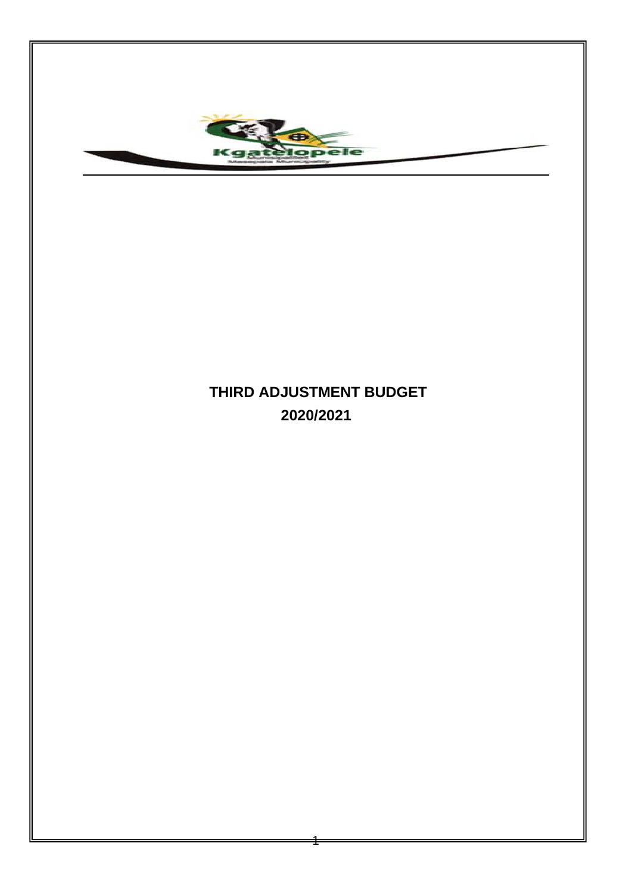

## **THIRD ADJUSTMENT BUDGET 2020/2021**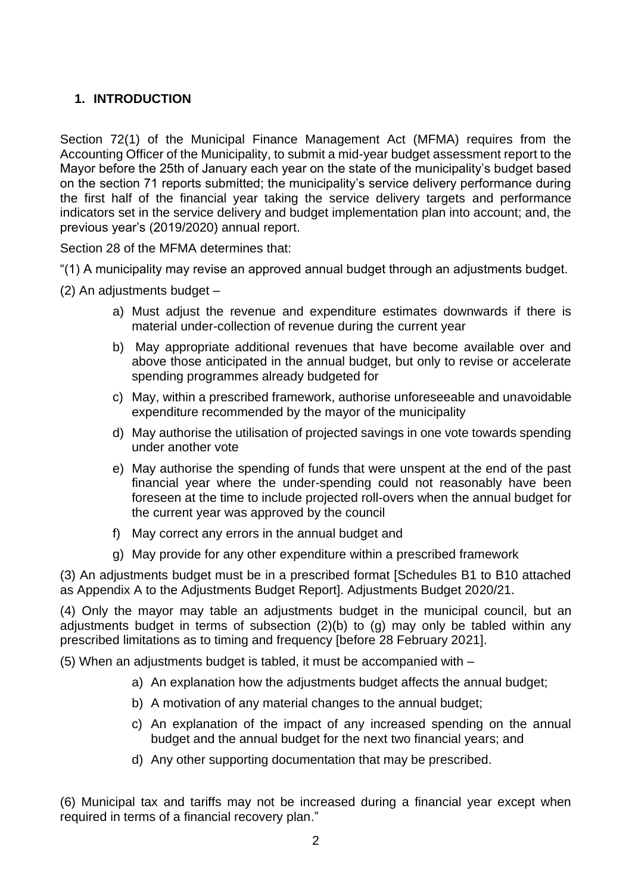## **1. INTRODUCTION**

Section 72(1) of the Municipal Finance Management Act (MFMA) requires from the Accounting Officer of the Municipality, to submit a mid-year budget assessment report to the Mayor before the 25th of January each year on the state of the municipality's budget based on the section 71 reports submitted; the municipality's service delivery performance during the first half of the financial year taking the service delivery targets and performance indicators set in the service delivery and budget implementation plan into account; and, the previous year's (2019/2020) annual report.

Section 28 of the MFMA determines that:

"(1) A municipality may revise an approved annual budget through an adjustments budget.

(2) An adjustments budget –

- a) Must adjust the revenue and expenditure estimates downwards if there is material under-collection of revenue during the current year
- b) May appropriate additional revenues that have become available over and above those anticipated in the annual budget, but only to revise or accelerate spending programmes already budgeted for
- c) May, within a prescribed framework, authorise unforeseeable and unavoidable expenditure recommended by the mayor of the municipality
- d) May authorise the utilisation of projected savings in one vote towards spending under another vote
- e) May authorise the spending of funds that were unspent at the end of the past financial year where the under-spending could not reasonably have been foreseen at the time to include projected roll-overs when the annual budget for the current year was approved by the council
- f) May correct any errors in the annual budget and
- g) May provide for any other expenditure within a prescribed framework

(3) An adjustments budget must be in a prescribed format [Schedules B1 to B10 attached as Appendix A to the Adjustments Budget Report]. Adjustments Budget 2020/21.

(4) Only the mayor may table an adjustments budget in the municipal council, but an adjustments budget in terms of subsection (2)(b) to (g) may only be tabled within any prescribed limitations as to timing and frequency [before 28 February 2021].

(5) When an adjustments budget is tabled, it must be accompanied with –

- a) An explanation how the adjustments budget affects the annual budget;
- b) A motivation of any material changes to the annual budget;
- c) An explanation of the impact of any increased spending on the annual budget and the annual budget for the next two financial years; and
- d) Any other supporting documentation that may be prescribed.

(6) Municipal tax and tariffs may not be increased during a financial year except when required in terms of a financial recovery plan."